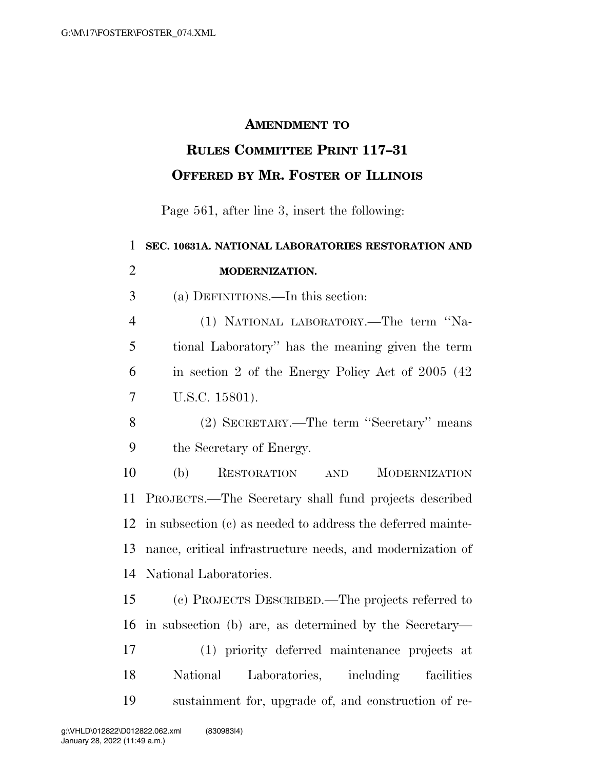## **AMENDMENT TO**

## **RULES COMMITTEE PRINT 117–31 OFFERED BY MR. FOSTER OF ILLINOIS**

Page 561, after line 3, insert the following:

| $\mathbf{1}$   | SEC. 10631A. NATIONAL LABORATORIES RESTORATION AND              |
|----------------|-----------------------------------------------------------------|
| $\overline{2}$ | MODERNIZATION.                                                  |
| 3              | (a) DEFINITIONS.—In this section:                               |
| $\overline{4}$ | (1) NATIONAL LABORATORY.—The term "Na-                          |
| 5              | tional Laboratory" has the meaning given the term               |
| 6              | in section 2 of the Energy Policy Act of 2005 (42)              |
| $\overline{7}$ | U.S.C. 15801).                                                  |
| 8              | (2) SECRETARY.—The term "Secretary" means                       |
| 9              | the Secretary of Energy.                                        |
| 10             | (b)<br><b>RESTORATION</b><br><b>MODERNIZATION</b><br><b>AND</b> |
| 11             | PROJECTS.—The Secretary shall fund projects described           |
| 12             | in subsection (c) as needed to address the deferred mainte-     |
| 13             | nance, critical infrastructure needs, and modernization of      |
| 14             | National Laboratories.                                          |
| 15             | (c) PROJECTS DESCRIBED.—The projects referred to                |
| 16             | in subsection (b) are, as determined by the Secretary—          |
| 17             | (1) priority deferred maintenance projects at                   |
| 18             | National<br>Laboratories, including<br>facilities               |
| 19             | sustainment for, upgrade of, and construction of re-            |
|                |                                                                 |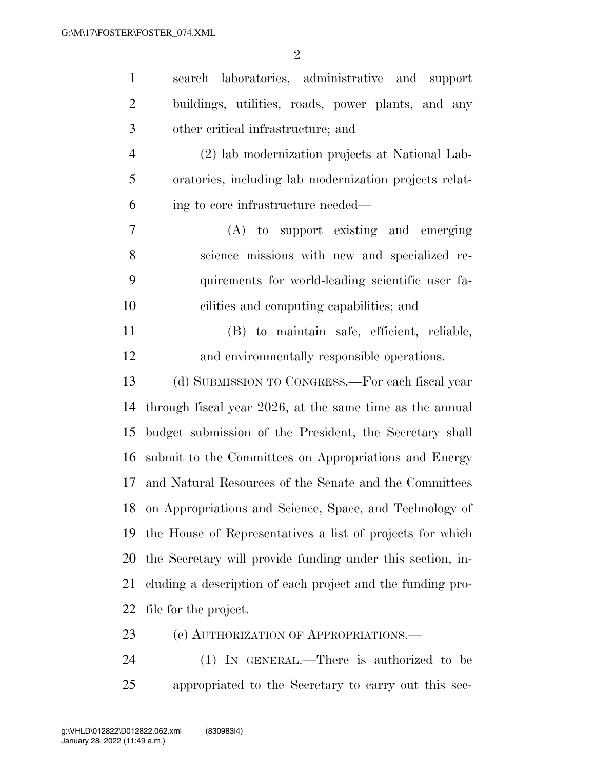| $\mathbf{1}$   | search laboratories, administrative and support            |
|----------------|------------------------------------------------------------|
| $\overline{2}$ | buildings, utilities, roads, power plants, and any         |
| 3              | other critical infrastructure; and                         |
| $\overline{4}$ | (2) lab modernization projects at National Lab-            |
| 5              | oratories, including lab modernization projects relat-     |
| 6              | ing to core infrastructure needed—                         |
| 7              | (A) to support existing and emerging                       |
| 8              | science missions with new and specialized re-              |
| 9              | quirements for world-leading scientific user fa-           |
| 10             | cilities and computing capabilities; and                   |
| 11             | (B) to maintain safe, efficient, reliable,                 |
| 12             | and environmentally responsible operations.                |
| 13             | (d) SUBMISSION TO CONGRESS.-For each fiscal year           |
| 14             | through fiscal year 2026, at the same time as the annual   |
| 15             | budget submission of the President, the Secretary shall    |
| 16             | submit to the Committees on Appropriations and Energy      |
| 17             | and Natural Resources of the Senate and the Committees     |
|                | 18 on Appropriations and Science, Space, and Technology of |
| 19             | the House of Representatives a list of projects for which  |
| 20             | the Secretary will provide funding under this section, in- |
| 21             | cluding a description of each project and the funding pro- |
| 22             | file for the project.                                      |
| 23             | (e) AUTHORIZATION OF APPROPRIATIONS.—                      |
| 24             | (1) IN GENERAL.—There is authorized to be                  |

appropriated to the Secretary to carry out this sec-